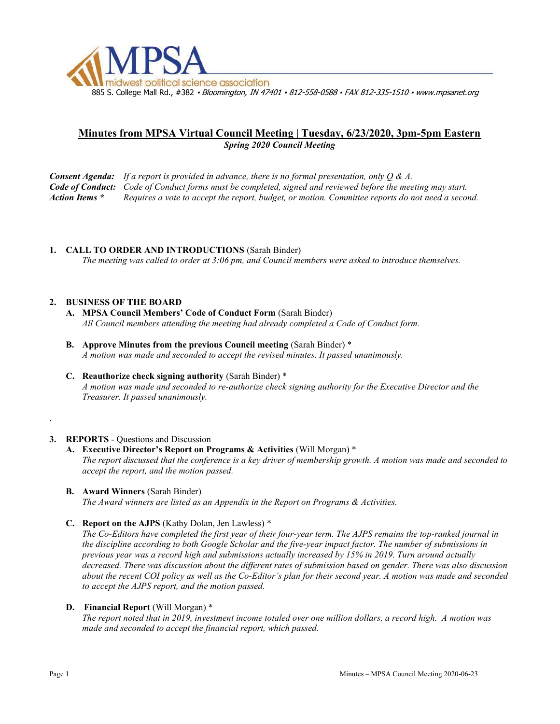

# Minutes from MPSA Virtual Council Meeting | Tuesday, 6/23/2020, 3pm-5pm Eastern Spring 2020 Council Meeting

**Consent Agenda:** If a report is provided in advance, there is no formal presentation, only  $Q \& A$ . Code of Conduct: Code of Conduct forms must be completed, signed and reviewed before the meeting may start. Action Items \* Requires a vote to accept the report, budget, or motion. Committee reports do not need a second.

# 1. CALL TO ORDER AND INTRODUCTIONS (Sarah Binder)

The meeting was called to order at 3:06 pm, and Council members were asked to introduce themselves.

### 2. BUSINESS OF THE BOARD

- A. MPSA Council Members' Code of Conduct Form (Sarah Binder) All Council members attending the meeting had already completed a Code of Conduct form.
- B. Approve Minutes from the previous Council meeting (Sarah Binder) \* A motion was made and seconded to accept the revised minutes. It passed unanimously.
- C. Reauthorize check signing authority (Sarah Binder) \* A motion was made and seconded to re-authorize check signing authority for the Executive Director and the Treasurer. It passed unanimously.

### 3. REPORTS - Questions and Discussion

### A. Executive Director's Report on Programs & Activities (Will Morgan) \*

The report discussed that the conference is a key driver of membership growth. A motion was made and seconded to accept the report, and the motion passed.

B. Award Winners (Sarah Binder)

The Award winners are listed as an Appendix in the Report on Programs & Activities.

### C. Report on the AJPS (Kathy Dolan, Jen Lawless) \*

The Co-Editors have completed the first year of their four-year term. The AJPS remains the top-ranked journal in the discipline according to both Google Scholar and the five-year impact factor. The number of submissions in previous year was a record high and submissions actually increased by 15% in 2019. Turn around actually decreased. There was discussion about the different rates of submission based on gender. There was also discussion about the recent COI policy as well as the Co-Editor's plan for their second year. A motion was made and seconded to accept the AJPS report, and the motion passed.

### D. Financial Report (Will Morgan) \*

The report noted that in 2019, investment income totaled over one million dollars, a record high. A motion was made and seconded to accept the financial report, which passed.

.